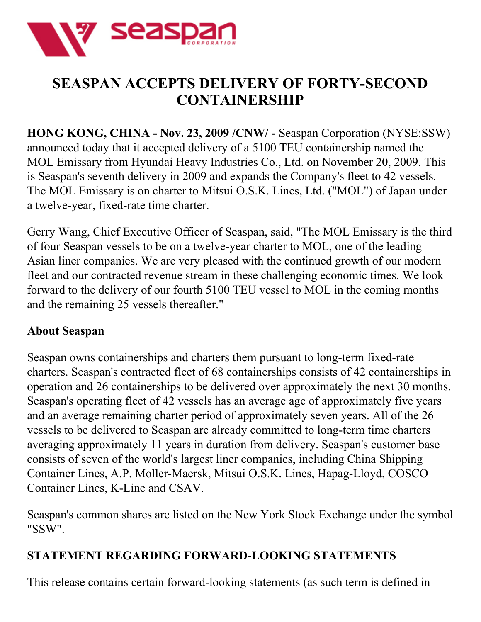

## **SEASPAN ACCEPTS DELIVERY OF FORTY-SECOND CONTAINERSHIP**

**HONG KONG, CHINA - Nov. 23, 2009 /CNW/ -** Seaspan Corporation (NYSE:SSW) announced today that it accepted delivery of a 5100 TEU containership named the MOL Emissary from Hyundai Heavy Industries Co., Ltd. on November 20, 2009. This is Seaspan's seventh delivery in 2009 and expands the Company's fleet to 42 vessels. The MOL Emissary is on charter to Mitsui O.S.K. Lines, Ltd. ("MOL") of Japan under a twelve-year, fixed-rate time charter.

Gerry Wang, Chief Executive Officer of Seaspan, said, "The MOL Emissary is the third of four Seaspan vessels to be on a twelve-year charter to MOL, one of the leading Asian liner companies. We are very pleased with the continued growth of our modern fleet and our contracted revenue stream in these challenging economic times. We look forward to the delivery of our fourth 5100 TEU vessel to MOL in the coming months and the remaining 25 vessels thereafter."

## **About Seaspan**

Seaspan owns containerships and charters them pursuant to long-term fixed-rate charters. Seaspan's contracted fleet of 68 containerships consists of 42 containerships in operation and 26 containerships to be delivered over approximately the next 30 months. Seaspan's operating fleet of 42 vessels has an average age of approximately five years and an average remaining charter period of approximately seven years. All of the 26 vessels to be delivered to Seaspan are already committed to long-term time charters averaging approximately 11 years in duration from delivery. Seaspan's customer base consists of seven of the world's largest liner companies, including China Shipping Container Lines, A.P. Moller-Maersk, Mitsui O.S.K. Lines, Hapag-Lloyd, COSCO Container Lines, K-Line and CSAV.

Seaspan's common shares are listed on the New York Stock Exchange under the symbol "SSW".

## **STATEMENT REGARDING FORWARD-LOOKING STATEMENTS**

This release contains certain forward-looking statements (as such term is defined in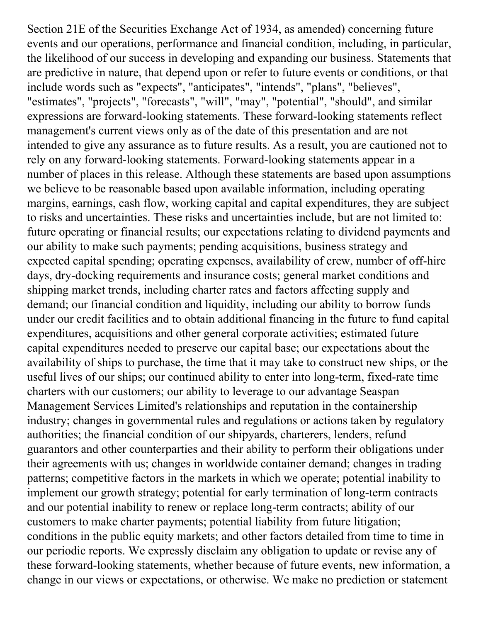Section 21E of the Securities Exchange Act of 1934, as amended) concerning future events and our operations, performance and financial condition, including, in particular, the likelihood of our success in developing and expanding our business. Statements that are predictive in nature, that depend upon or refer to future events or conditions, or that include words such as "expects", "anticipates", "intends", "plans", "believes", "estimates", "projects", "forecasts", "will", "may", "potential", "should", and similar expressions are forward-looking statements. These forward-looking statements reflect management's current views only as of the date of this presentation and are not intended to give any assurance as to future results. As a result, you are cautioned not to rely on any forward-looking statements. Forward-looking statements appear in a number of places in this release. Although these statements are based upon assumptions we believe to be reasonable based upon available information, including operating margins, earnings, cash flow, working capital and capital expenditures, they are subject to risks and uncertainties. These risks and uncertainties include, but are not limited to: future operating or financial results; our expectations relating to dividend payments and our ability to make such payments; pending acquisitions, business strategy and expected capital spending; operating expenses, availability of crew, number of off-hire days, dry-docking requirements and insurance costs; general market conditions and shipping market trends, including charter rates and factors affecting supply and demand; our financial condition and liquidity, including our ability to borrow funds under our credit facilities and to obtain additional financing in the future to fund capital expenditures, acquisitions and other general corporate activities; estimated future capital expenditures needed to preserve our capital base; our expectations about the availability of ships to purchase, the time that it may take to construct new ships, or the useful lives of our ships; our continued ability to enter into long-term, fixed-rate time charters with our customers; our ability to leverage to our advantage Seaspan Management Services Limited's relationships and reputation in the containership industry; changes in governmental rules and regulations or actions taken by regulatory authorities; the financial condition of our shipyards, charterers, lenders, refund guarantors and other counterparties and their ability to perform their obligations under their agreements with us; changes in worldwide container demand; changes in trading patterns; competitive factors in the markets in which we operate; potential inability to implement our growth strategy; potential for early termination of long-term contracts and our potential inability to renew or replace long-term contracts; ability of our customers to make charter payments; potential liability from future litigation; conditions in the public equity markets; and other factors detailed from time to time in our periodic reports. We expressly disclaim any obligation to update or revise any of these forward-looking statements, whether because of future events, new information, a change in our views or expectations, or otherwise. We make no prediction or statement